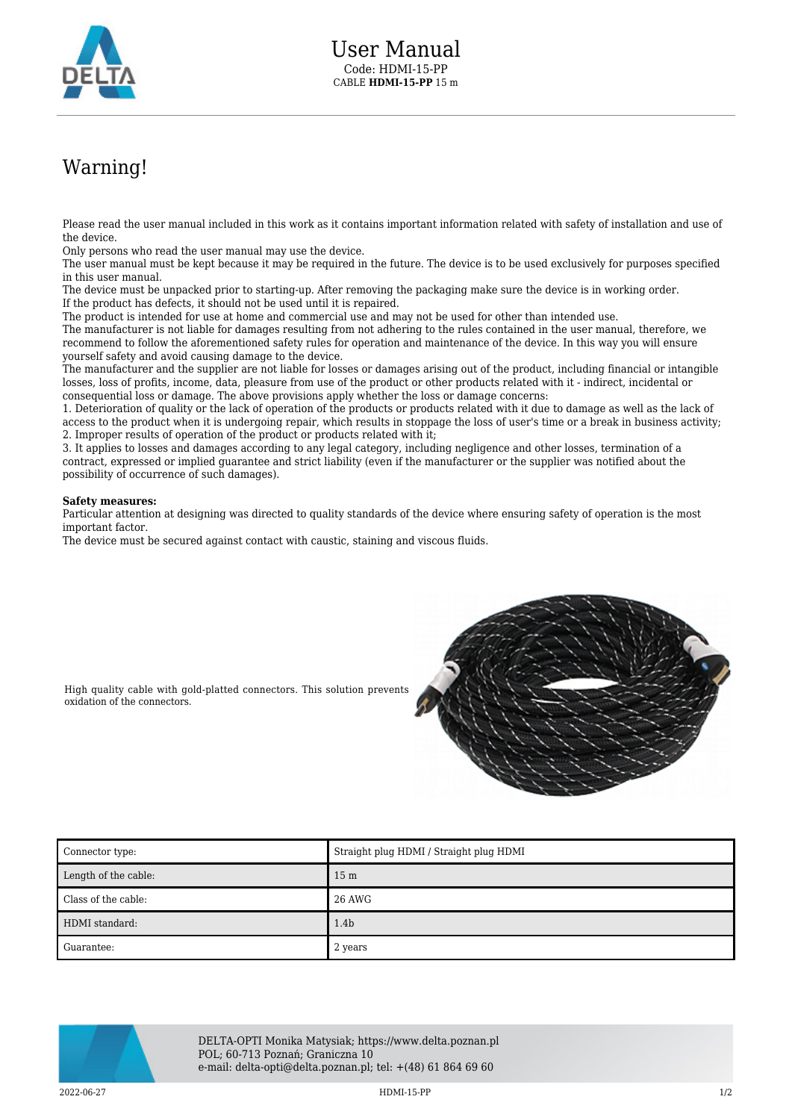

## Warning!

Please read the user manual included in this work as it contains important information related with safety of installation and use of the device.

Only persons who read the user manual may use the device.

The user manual must be kept because it may be required in the future. The device is to be used exclusively for purposes specified in this user manual.

The device must be unpacked prior to starting-up. After removing the packaging make sure the device is in working order. If the product has defects, it should not be used until it is repaired.

The product is intended for use at home and commercial use and may not be used for other than intended use.

The manufacturer is not liable for damages resulting from not adhering to the rules contained in the user manual, therefore, we recommend to follow the aforementioned safety rules for operation and maintenance of the device. In this way you will ensure yourself safety and avoid causing damage to the device.

The manufacturer and the supplier are not liable for losses or damages arising out of the product, including financial or intangible losses, loss of profits, income, data, pleasure from use of the product or other products related with it - indirect, incidental or consequential loss or damage. The above provisions apply whether the loss or damage concerns:

1. Deterioration of quality or the lack of operation of the products or products related with it due to damage as well as the lack of access to the product when it is undergoing repair, which results in stoppage the loss of user's time or a break in business activity; 2. Improper results of operation of the product or products related with it;

3. It applies to losses and damages according to any legal category, including negligence and other losses, termination of a contract, expressed or implied guarantee and strict liability (even if the manufacturer or the supplier was notified about the possibility of occurrence of such damages).

## **Safety measures:**

Particular attention at designing was directed to quality standards of the device where ensuring safety of operation is the most important factor.

The device must be secured against contact with caustic, staining and viscous fluids.



High quality cable with gold-platted connectors. This solution prevents oxidation of the connectors.

| Connector type:      | Straight plug HDMI / Straight plug HDMI |
|----------------------|-----------------------------------------|
| Length of the cable: | 15 <sub>m</sub>                         |
| Class of the cable:  | 26 AWG                                  |
| HDMI standard:       | 1.4 <sub>b</sub>                        |
| Guarantee:           | 2 years                                 |



DELTA-OPTI Monika Matysiak; https://www.delta.poznan.pl POL; 60-713 Poznań; Graniczna 10 e-mail: delta-opti@delta.poznan.pl; tel: +(48) 61 864 69 60